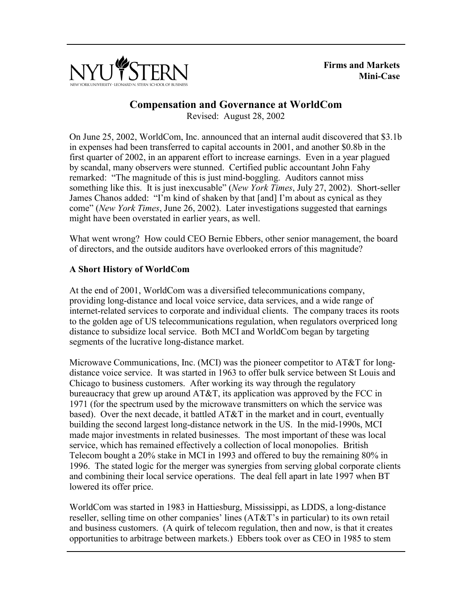

**Firms and Markets Mini-Case**

# **Compensation and Governance at WorldCom**

Revised: August 28, 2002

On June 25, 2002, WorldCom, Inc. announced that an internal audit discovered that \$3.1b in expenses had been transferred to capital accounts in 2001, and another \$0.8b in the first quarter of 2002, in an apparent effort to increase earnings. Even in a year plagued by scandal, many observers were stunned. Certified public accountant John Fahy remarked: "The magnitude of this is just mind-boggling. Auditors cannot miss something like this. It is just inexcusable" (*New York Times*, July 27, 2002). Short-seller James Chanos added: "I'm kind of shaken by that [and] I'm about as cynical as they come" (*New York Times*, June 26, 2002). Later investigations suggested that earnings might have been overstated in earlier years, as well.

What went wrong? How could CEO Bernie Ebbers, other senior management, the board of directors, and the outside auditors have overlooked errors of this magnitude?

## **A Short History of WorldCom**

At the end of 2001, WorldCom was a diversified telecommunications company, providing long-distance and local voice service, data services, and a wide range of internet-related services to corporate and individual clients. The company traces its roots to the golden age of US telecommunications regulation, when regulators overpriced long distance to subsidize local service. Both MCI and WorldCom began by targeting segments of the lucrative long-distance market.

Microwave Communications, Inc. (MCI) was the pioneer competitor to AT&T for longdistance voice service. It was started in 1963 to offer bulk service between St Louis and Chicago to business customers. After working its way through the regulatory bureaucracy that grew up around  $AT&T$ , its application was approved by the FCC in 1971 (for the spectrum used by the microwave transmitters on which the service was based). Over the next decade, it battled AT&T in the market and in court, eventually building the second largest long-distance network in the US. In the mid-1990s, MCI made major investments in related businesses. The most important of these was local service, which has remained effectively a collection of local monopolies. British Telecom bought a 20% stake in MCI in 1993 and offered to buy the remaining 80% in 1996. The stated logic for the merger was synergies from serving global corporate clients and combining their local service operations. The deal fell apart in late 1997 when BT lowered its offer price.

WorldCom was started in 1983 in Hattiesburg, Mississippi, as LDDS, a long-distance reseller, selling time on other companies' lines (AT&T's in particular) to its own retail and business customers. (A quirk of telecom regulation, then and now, is that it creates opportunities to arbitrage between markets.) Ebbers took over as CEO in 1985 to stem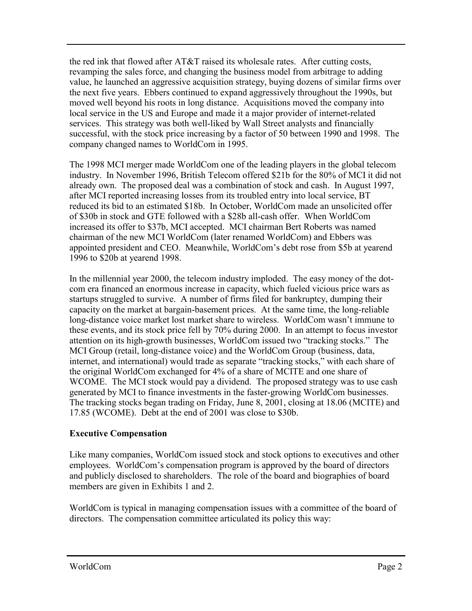the red ink that flowed after AT&T raised its wholesale rates. After cutting costs, revamping the sales force, and changing the business model from arbitrage to adding value, he launched an aggressive acquisition strategy, buying dozens of similar firms over the next five years. Ebbers continued to expand aggressively throughout the 1990s, but moved well beyond his roots in long distance. Acquisitions moved the company into local service in the US and Europe and made it a major provider of internet-related services. This strategy was both well-liked by Wall Street analysts and financially successful, with the stock price increasing by a factor of 50 between 1990 and 1998. The company changed names to WorldCom in 1995.

The 1998 MCI merger made WorldCom one of the leading players in the global telecom industry. In November 1996, British Telecom offered \$21b for the 80% of MCI it did not already own. The proposed deal was a combination of stock and cash. In August 1997, after MCI reported increasing losses from its troubled entry into local service, BT reduced its bid to an estimated \$18b. In October, WorldCom made an unsolicited offer of \$30b in stock and GTE followed with a \$28b all-cash offer. When WorldCom increased its offer to \$37b, MCI accepted. MCI chairman Bert Roberts was named chairman of the new MCI WorldCom (later renamed WorldCom) and Ebbers was appointed president and CEO. Meanwhile, WorldCom's debt rose from \$5b at yearend 1996 to \$20b at yearend 1998.

In the millennial year 2000, the telecom industry imploded. The easy money of the dotcom era financed an enormous increase in capacity, which fueled vicious price wars as startups struggled to survive. A number of firms filed for bankruptcy, dumping their capacity on the market at bargain-basement prices. At the same time, the long-reliable long-distance voice market lost market share to wireless. WorldCom wasn't immune to these events, and its stock price fell by 70% during 2000. In an attempt to focus investor attention on its high-growth businesses, WorldCom issued two "tracking stocks." The MCI Group (retail, long-distance voice) and the WorldCom Group (business, data, internet, and international) would trade as separate "tracking stocks," with each share of the original WorldCom exchanged for 4% of a share of MCITE and one share of WCOME. The MCI stock would pay a dividend. The proposed strategy was to use cash generated by MCI to finance investments in the faster-growing WorldCom businesses. The tracking stocks began trading on Friday, June 8, 2001, closing at 18.06 (MCITE) and 17.85 (WCOME). Debt at the end of 2001 was close to \$30b.

# **Executive Compensation**

Like many companies, WorldCom issued stock and stock options to executives and other employees. WorldCom's compensation program is approved by the board of directors and publicly disclosed to shareholders. The role of the board and biographies of board members are given in Exhibits 1 and 2.

WorldCom is typical in managing compensation issues with a committee of the board of directors. The compensation committee articulated its policy this way: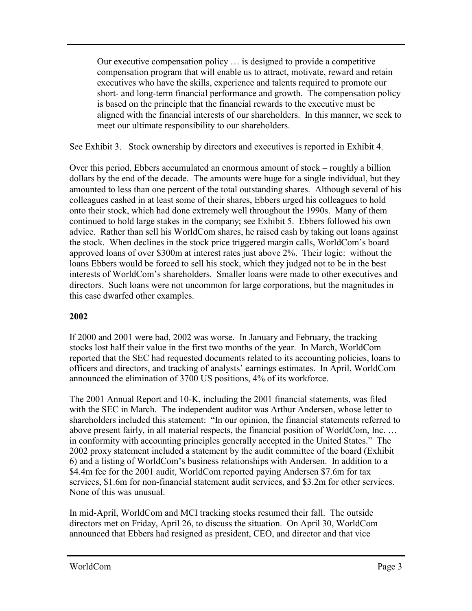Our executive compensation policy … is designed to provide a competitive compensation program that will enable us to attract, motivate, reward and retain executives who have the skills, experience and talents required to promote our short- and long-term financial performance and growth. The compensation policy is based on the principle that the financial rewards to the executive must be aligned with the financial interests of our shareholders. In this manner, we seek to meet our ultimate responsibility to our shareholders.

See Exhibit 3. Stock ownership by directors and executives is reported in Exhibit 4.

Over this period, Ebbers accumulated an enormous amount of stock – roughly a billion dollars by the end of the decade. The amounts were huge for a single individual, but they amounted to less than one percent of the total outstanding shares. Although several of his colleagues cashed in at least some of their shares, Ebbers urged his colleagues to hold onto their stock, which had done extremely well throughout the 1990s. Many of them continued to hold large stakes in the company; see Exhibit 5. Ebbers followed his own advice. Rather than sell his WorldCom shares, he raised cash by taking out loans against the stock. When declines in the stock price triggered margin calls, WorldCom's board approved loans of over \$300m at interest rates just above 2%. Their logic: without the loans Ebbers would be forced to sell his stock, which they judged not to be in the best interests of WorldCom's shareholders. Smaller loans were made to other executives and directors. Such loans were not uncommon for large corporations, but the magnitudes in this case dwarfed other examples.

# **2002**

If 2000 and 2001 were bad, 2002 was worse. In January and February, the tracking stocks lost half their value in the first two months of the year. In March, WorldCom reported that the SEC had requested documents related to its accounting policies, loans to officers and directors, and tracking of analysts' earnings estimates. In April, WorldCom announced the elimination of 3700 US positions, 4% of its workforce.

The 2001 Annual Report and 10-K, including the 2001 financial statements, was filed with the SEC in March. The independent auditor was Arthur Andersen, whose letter to shareholders included this statement: "In our opinion, the financial statements referred to above present fairly, in all material respects, the financial position of WorldCom, Inc. … in conformity with accounting principles generally accepted in the United States." The 2002 proxy statement included a statement by the audit committee of the board (Exhibit 6) and a listing of WorldCom's business relationships with Andersen. In addition to a \$4.4m fee for the 2001 audit, WorldCom reported paying Andersen \$7.6m for tax services, \$1.6m for non-financial statement audit services, and \$3.2m for other services. None of this was unusual.

In mid-April, WorldCom and MCI tracking stocks resumed their fall. The outside directors met on Friday, April 26, to discuss the situation. On April 30, WorldCom announced that Ebbers had resigned as president, CEO, and director and that vice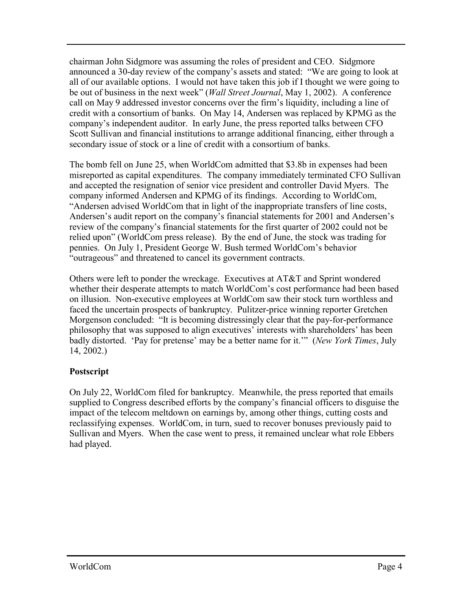chairman John Sidgmore was assuming the roles of president and CEO. Sidgmore announced a 30-day review of the company's assets and stated: "We are going to look at all of our available options. I would not have taken this job if I thought we were going to be out of business in the next week" (*Wall Street Journal*, May 1, 2002). A conference call on May 9 addressed investor concerns over the firm's liquidity, including a line of credit with a consortium of banks. On May 14, Andersen was replaced by KPMG as the company's independent auditor. In early June, the press reported talks between CFO Scott Sullivan and financial institutions to arrange additional financing, either through a secondary issue of stock or a line of credit with a consortium of banks.

The bomb fell on June 25, when WorldCom admitted that \$3.8b in expenses had been misreported as capital expenditures. The company immediately terminated CFO Sullivan and accepted the resignation of senior vice president and controller David Myers. The company informed Andersen and KPMG of its findings. According to WorldCom, "Andersen advised WorldCom that in light of the inappropriate transfers of line costs, Andersen's audit report on the company's financial statements for 2001 and Andersen's review of the company's financial statements for the first quarter of 2002 could not be relied upon" (WorldCom press release). By the end of June, the stock was trading for pennies. On July 1, President George W. Bush termed WorldCom's behavior "outrageous" and threatened to cancel its government contracts.

Others were left to ponder the wreckage. Executives at AT&T and Sprint wondered whether their desperate attempts to match WorldCom's cost performance had been based on illusion. Non-executive employees at WorldCom saw their stock turn worthless and faced the uncertain prospects of bankruptcy. Pulitzer-price winning reporter Gretchen Morgenson concluded: "It is becoming distressingly clear that the pay-for-performance philosophy that was supposed to align executives' interests with shareholders' has been badly distorted. 'Pay for pretense' may be a better name for it.'" (*New York Times*, July 14, 2002.)

# **Postscript**

On July 22, WorldCom filed for bankruptcy. Meanwhile, the press reported that emails supplied to Congress described efforts by the company's financial officers to disguise the impact of the telecom meltdown on earnings by, among other things, cutting costs and reclassifying expenses. WorldCom, in turn, sued to recover bonuses previously paid to Sullivan and Myers. When the case went to press, it remained unclear what role Ebbers had played.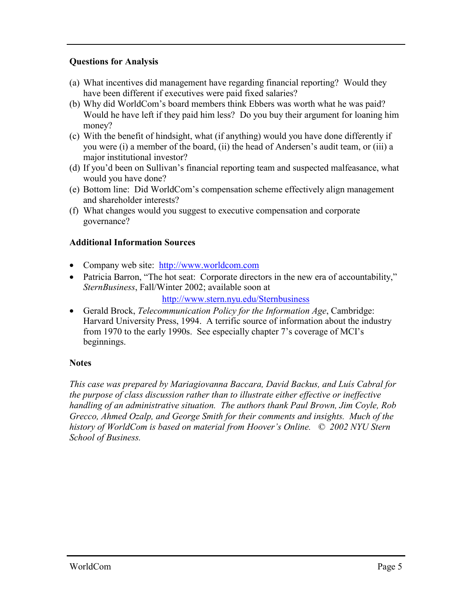# **Questions for Analysis**

- (a) What incentives did management have regarding financial reporting? Would they have been different if executives were paid fixed salaries?
- (b) Why did WorldCom's board members think Ebbers was worth what he was paid? Would he have left if they paid him less? Do you buy their argument for loaning him money?
- (c) With the benefit of hindsight, what (if anything) would you have done differently if you were (i) a member of the board, (ii) the head of Andersen's audit team, or (iii) a major institutional investor?
- (d) If you'd been on Sullivan's financial reporting team and suspected malfeasance, what would you have done?
- (e) Bottom line: Did WorldCom's compensation scheme effectively align management and shareholder interests?
- (f) What changes would you suggest to executive compensation and corporate governance?

## **Additional Information Sources**

- Company web site: http://www.worldcom.com
- Patricia Barron, "The hot seat: Corporate directors in the new era of accountability," *SternBusiness*, Fall/Winter 2002; available soon at

<http://www.stern.nyu.edu/Sternbusiness>

• Gerald Brock, *Telecommunication Policy for the Information Age*, Cambridge: Harvard University Press, 1994. A terrific source of information about the industry from 1970 to the early 1990s. See especially chapter 7's coverage of MCI's beginnings.

### **Notes**

*This case was prepared by Mariagiovanna Baccara, David Backus, and Luís Cabral for the purpose of class discussion rather than to illustrate either effective or ineffective handling of an administrative situation. The authors thank Paul Brown, Jim Coyle, Rob Grecco, Ahmed Ozalp, and George Smith for their comments and insights. Much of the history of WorldCom is based on material from Hoover's Online. © 2002 NYU Stern School of Business.*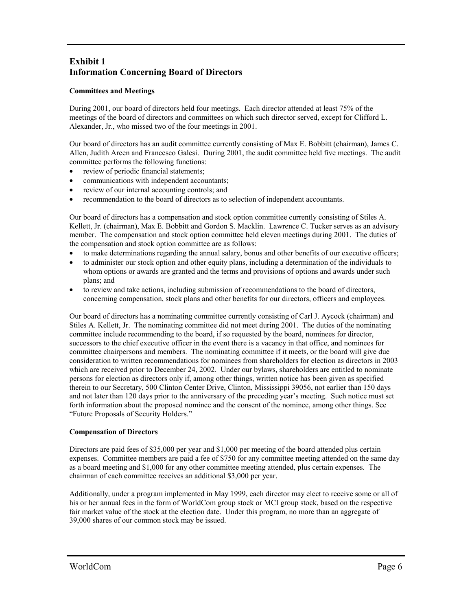# **Exhibit 1 Information Concerning Board of Directors**

#### **Committees and Meetings**

During 2001, our board of directors held four meetings. Each director attended at least 75% of the meetings of the board of directors and committees on which such director served, except for Clifford L. Alexander, Jr., who missed two of the four meetings in 2001.

Our board of directors has an audit committee currently consisting of Max E. Bobbitt (chairman), James C. Allen, Judith Areen and Francesco Galesi. During 2001, the audit committee held five meetings. The audit committee performs the following functions:

- review of periodic financial statements:
- communications with independent accountants;
- review of our internal accounting controls; and
- recommendation to the board of directors as to selection of independent accountants.

Our board of directors has a compensation and stock option committee currently consisting of Stiles A. Kellett, Jr. (chairman), Max E. Bobbitt and Gordon S. Macklin. Lawrence C. Tucker serves as an advisory member. The compensation and stock option committee held eleven meetings during 2001. The duties of the compensation and stock option committee are as follows:

- to make determinations regarding the annual salary, bonus and other benefits of our executive officers;
- to administer our stock option and other equity plans, including a determination of the individuals to whom options or awards are granted and the terms and provisions of options and awards under such plans; and
- to review and take actions, including submission of recommendations to the board of directors, concerning compensation, stock plans and other benefits for our directors, officers and employees.

Our board of directors has a nominating committee currently consisting of Carl J. Aycock (chairman) and Stiles A. Kellett, Jr. The nominating committee did not meet during 2001. The duties of the nominating committee include recommending to the board, if so requested by the board, nominees for director, successors to the chief executive officer in the event there is a vacancy in that office, and nominees for committee chairpersons and members. The nominating committee if it meets, or the board will give due consideration to written recommendations for nominees from shareholders for election as directors in 2003 which are received prior to December 24, 2002. Under our bylaws, shareholders are entitled to nominate persons for election as directors only if, among other things, written notice has been given as specified therein to our Secretary, 500 Clinton Center Drive, Clinton, Mississippi 39056, not earlier than 150 days and not later than 120 days prior to the anniversary of the preceding year's meeting. Such notice must set forth information about the proposed nominee and the consent of the nominee, among other things. See "Future Proposals of Security Holders."

#### **Compensation of Directors**

Directors are paid fees of \$35,000 per year and \$1,000 per meeting of the board attended plus certain expenses. Committee members are paid a fee of \$750 for any committee meeting attended on the same day as a board meeting and \$1,000 for any other committee meeting attended, plus certain expenses. The chairman of each committee receives an additional \$3,000 per year.

Additionally, under a program implemented in May 1999, each director may elect to receive some or all of his or her annual fees in the form of WorldCom group stock or MCI group stock, based on the respective fair market value of the stock at the election date. Under this program, no more than an aggregate of 39,000 shares of our common stock may be issued.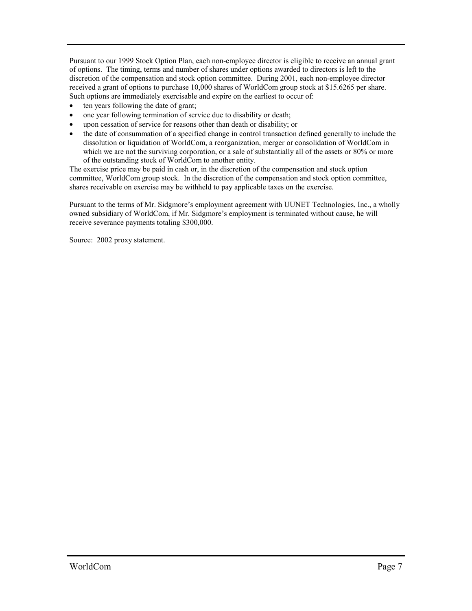Pursuant to our 1999 Stock Option Plan, each non-employee director is eligible to receive an annual grant of options. The timing, terms and number of shares under options awarded to directors is left to the discretion of the compensation and stock option committee. During 2001, each non-employee director received a grant of options to purchase 10,000 shares of WorldCom group stock at \$15.6265 per share. Such options are immediately exercisable and expire on the earliest to occur of:

- ten years following the date of grant;
- one year following termination of service due to disability or death;
- upon cessation of service for reasons other than death or disability; or
- the date of consummation of a specified change in control transaction defined generally to include the dissolution or liquidation of WorldCom, a reorganization, merger or consolidation of WorldCom in which we are not the surviving corporation, or a sale of substantially all of the assets or 80% or more of the outstanding stock of WorldCom to another entity.

The exercise price may be paid in cash or, in the discretion of the compensation and stock option committee, WorldCom group stock. In the discretion of the compensation and stock option committee, shares receivable on exercise may be withheld to pay applicable taxes on the exercise.

Pursuant to the terms of Mr. Sidgmore's employment agreement with UUNET Technologies, Inc., a wholly owned subsidiary of WorldCom, if Mr. Sidgmore's employment is terminated without cause, he will receive severance payments totaling \$300,000.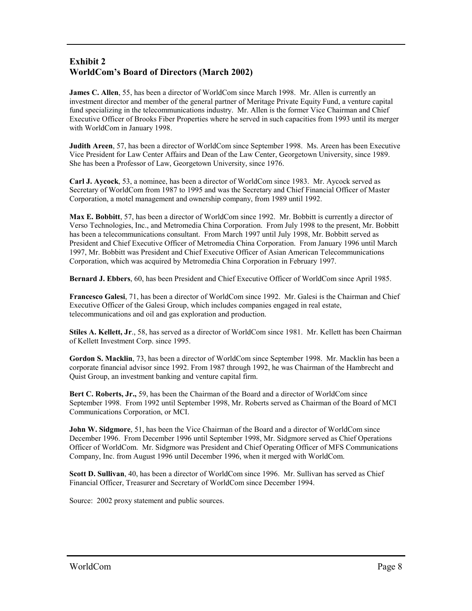## **Exhibit 2 WorldCom's Board of Directors (March 2002)**

**James C. Allen**, 55, has been a director of WorldCom since March 1998. Mr. Allen is currently an investment director and member of the general partner of Meritage Private Equity Fund, a venture capital fund specializing in the telecommunications industry. Mr. Allen is the former Vice Chairman and Chief Executive Officer of Brooks Fiber Properties where he served in such capacities from 1993 until its merger with WorldCom in January 1998.

**Judith Areen**, 57, has been a director of WorldCom since September 1998. Ms. Areen has been Executive Vice President for Law Center Affairs and Dean of the Law Center, Georgetown University, since 1989. She has been a Professor of Law, Georgetown University, since 1976.

**Carl J. Aycock**, 53, a nominee, has been a director of WorldCom since 1983. Mr. Aycock served as Secretary of WorldCom from 1987 to 1995 and was the Secretary and Chief Financial Officer of Master Corporation, a motel management and ownership company, from 1989 until 1992.

**Max E. Bobbitt**, 57, has been a director of WorldCom since 1992. Mr. Bobbitt is currently a director of Verso Technologies, Inc., and Metromedia China Corporation. From July 1998 to the present, Mr. Bobbitt has been a telecommunications consultant. From March 1997 until July 1998, Mr. Bobbitt served as President and Chief Executive Officer of Metromedia China Corporation. From January 1996 until March 1997, Mr. Bobbitt was President and Chief Executive Officer of Asian American Telecommunications Corporation, which was acquired by Metromedia China Corporation in February 1997.

**Bernard J. Ebbers**, 60, has been President and Chief Executive Officer of WorldCom since April 1985.

**Francesco Galesi**, 71, has been a director of WorldCom since 1992. Mr. Galesi is the Chairman and Chief Executive Officer of the Galesi Group, which includes companies engaged in real estate, telecommunications and oil and gas exploration and production.

**Stiles A. Kellett, Jr**., 58, has served as a director of WorldCom since 1981. Mr. Kellett has been Chairman of Kellett Investment Corp. since 1995.

**Gordon S. Macklin**, 73, has been a director of WorldCom since September 1998. Mr. Macklin has been a corporate financial advisor since 1992. From 1987 through 1992, he was Chairman of the Hambrecht and Quist Group, an investment banking and venture capital firm.

**Bert C. Roberts, Jr.,** 59, has been the Chairman of the Board and a director of WorldCom since September 1998. From 1992 until September 1998, Mr. Roberts served as Chairman of the Board of MCI Communications Corporation, or MCI.

**John W. Sidgmore**, 51, has been the Vice Chairman of the Board and a director of WorldCom since December 1996. From December 1996 until September 1998, Mr. Sidgmore served as Chief Operations Officer of WorldCom. Mr. Sidgmore was President and Chief Operating Officer of MFS Communications Company, Inc. from August 1996 until December 1996, when it merged with WorldCom.

**Scott D. Sullivan**, 40, has been a director of WorldCom since 1996. Mr. Sullivan has served as Chief Financial Officer, Treasurer and Secretary of WorldCom since December 1994.

Source: 2002 proxy statement and public sources.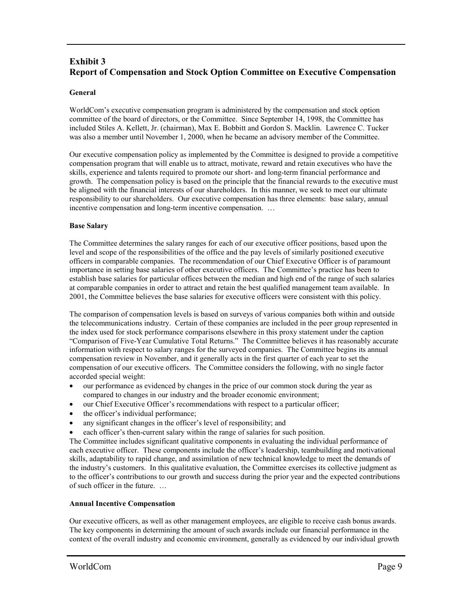# **Exhibit 3 Report of Compensation and Stock Option Committee on Executive Compensation**

#### **General**

WorldCom's executive compensation program is administered by the compensation and stock option committee of the board of directors, or the Committee. Since September 14, 1998, the Committee has included Stiles A. Kellett, Jr. (chairman), Max E. Bobbitt and Gordon S. Macklin. Lawrence C. Tucker was also a member until November 1, 2000, when he became an advisory member of the Committee.

Our executive compensation policy as implemented by the Committee is designed to provide a competitive compensation program that will enable us to attract, motivate, reward and retain executives who have the skills, experience and talents required to promote our short- and long-term financial performance and growth. The compensation policy is based on the principle that the financial rewards to the executive must be aligned with the financial interests of our shareholders. In this manner, we seek to meet our ultimate responsibility to our shareholders. Our executive compensation has three elements: base salary, annual incentive compensation and long-term incentive compensation. …

#### **Base Salary**

The Committee determines the salary ranges for each of our executive officer positions, based upon the level and scope of the responsibilities of the office and the pay levels of similarly positioned executive officers in comparable companies. The recommendation of our Chief Executive Officer is of paramount importance in setting base salaries of other executive officers. The Committee's practice has been to establish base salaries for particular offices between the median and high end of the range of such salaries at comparable companies in order to attract and retain the best qualified management team available. In 2001, the Committee believes the base salaries for executive officers were consistent with this policy.

The comparison of compensation levels is based on surveys of various companies both within and outside the telecommunications industry. Certain of these companies are included in the peer group represented in the index used for stock performance comparisons elsewhere in this proxy statement under the caption "Comparison of Five-Year Cumulative Total Returns." The Committee believes it has reasonably accurate information with respect to salary ranges for the surveyed companies. The Committee begins its annual compensation review in November, and it generally acts in the first quarter of each year to set the compensation of our executive officers. The Committee considers the following, with no single factor accorded special weight:

- our performance as evidenced by changes in the price of our common stock during the year as compared to changes in our industry and the broader economic environment;
- our Chief Executive Officer's recommendations with respect to a particular officer;
- the officer's individual performance;
- any significant changes in the officer's level of responsibility; and
- each officer's then-current salary within the range of salaries for such position.

The Committee includes significant qualitative components in evaluating the individual performance of each executive officer. These components include the officer's leadership, teambuilding and motivational skills, adaptability to rapid change, and assimilation of new technical knowledge to meet the demands of the industry's customers. In this qualitative evaluation, the Committee exercises its collective judgment as to the officer's contributions to our growth and success during the prior year and the expected contributions of such officer in the future. …

#### **Annual Incentive Compensation**

Our executive officers, as well as other management employees, are eligible to receive cash bonus awards. The key components in determining the amount of such awards include our financial performance in the context of the overall industry and economic environment, generally as evidenced by our individual growth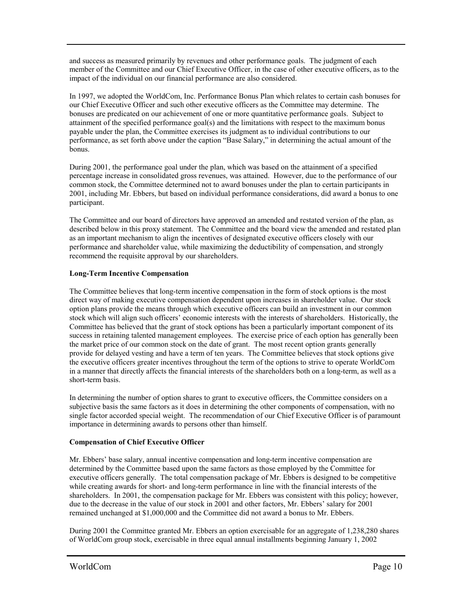and success as measured primarily by revenues and other performance goals. The judgment of each member of the Committee and our Chief Executive Officer, in the case of other executive officers, as to the impact of the individual on our financial performance are also considered.

In 1997, we adopted the WorldCom, Inc. Performance Bonus Plan which relates to certain cash bonuses for our Chief Executive Officer and such other executive officers as the Committee may determine. The bonuses are predicated on our achievement of one or more quantitative performance goals. Subject to attainment of the specified performance goal(s) and the limitations with respect to the maximum bonus payable under the plan, the Committee exercises its judgment as to individual contributions to our performance, as set forth above under the caption "Base Salary," in determining the actual amount of the bonus.

During 2001, the performance goal under the plan, which was based on the attainment of a specified percentage increase in consolidated gross revenues, was attained. However, due to the performance of our common stock, the Committee determined not to award bonuses under the plan to certain participants in 2001, including Mr. Ebbers, but based on individual performance considerations, did award a bonus to one participant.

The Committee and our board of directors have approved an amended and restated version of the plan, as described below in this proxy statement. The Committee and the board view the amended and restated plan as an important mechanism to align the incentives of designated executive officers closely with our performance and shareholder value, while maximizing the deductibility of compensation, and strongly recommend the requisite approval by our shareholders.

### **Long-Term Incentive Compensation**

The Committee believes that long-term incentive compensation in the form of stock options is the most direct way of making executive compensation dependent upon increases in shareholder value. Our stock option plans provide the means through which executive officers can build an investment in our common stock which will align such officers' economic interests with the interests of shareholders. Historically, the Committee has believed that the grant of stock options has been a particularly important component of its success in retaining talented management employees. The exercise price of each option has generally been the market price of our common stock on the date of grant. The most recent option grants generally provide for delayed vesting and have a term of ten years. The Committee believes that stock options give the executive officers greater incentives throughout the term of the options to strive to operate WorldCom in a manner that directly affects the financial interests of the shareholders both on a long-term, as well as a short-term basis.

In determining the number of option shares to grant to executive officers, the Committee considers on a subjective basis the same factors as it does in determining the other components of compensation, with no single factor accorded special weight. The recommendation of our Chief Executive Officer is of paramount importance in determining awards to persons other than himself.

#### **Compensation of Chief Executive Officer**

Mr. Ebbers' base salary, annual incentive compensation and long-term incentive compensation are determined by the Committee based upon the same factors as those employed by the Committee for executive officers generally. The total compensation package of Mr. Ebbers is designed to be competitive while creating awards for short- and long-term performance in line with the financial interests of the shareholders. In 2001, the compensation package for Mr. Ebbers was consistent with this policy; however, due to the decrease in the value of our stock in 2001 and other factors, Mr. Ebbers' salary for 2001 remained unchanged at \$1,000,000 and the Committee did not award a bonus to Mr. Ebbers.

During 2001 the Committee granted Mr. Ebbers an option exercisable for an aggregate of 1,238,280 shares of WorldCom group stock, exercisable in three equal annual installments beginning January 1, 2002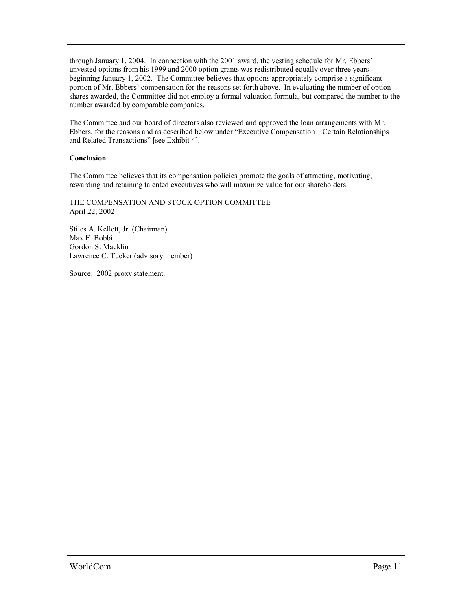through January 1, 2004. In connection with the 2001 award, the vesting schedule for Mr. Ebbers' unvested options from his 1999 and 2000 option grants was redistributed equally over three years beginning January 1, 2002. The Committee believes that options appropriately comprise a significant portion of Mr. Ebbers' compensation for the reasons set forth above. In evaluating the number of option shares awarded, the Committee did not employ a formal valuation formula, but compared the number to the number awarded by comparable companies.

The Committee and our board of directors also reviewed and approved the loan arrangements with Mr. Ebbers, for the reasons and as described below under "Executive Compensation—Certain Relationships and Related Transactions" [see Exhibit 4].

### **Conclusion**

The Committee believes that its compensation policies promote the goals of attracting, motivating, rewarding and retaining talented executives who will maximize value for our shareholders.

THE COMPENSATION AND STOCK OPTION COMMITTEE April 22, 2002

Stiles A. Kellett, Jr. (Chairman) Max E. Bobbitt Gordon S. Macklin Lawrence C. Tucker (advisory member)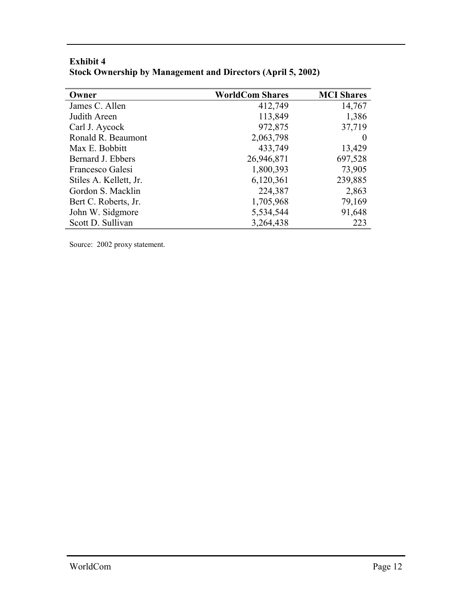| Owner                  | <b>WorldCom Shares</b> | <b>MCI</b> Shares |
|------------------------|------------------------|-------------------|
| James C. Allen         | 412,749                | 14,767            |
| Judith Areen           | 113,849                | 1,386             |
| Carl J. Aycock         | 972,875                | 37,719            |
| Ronald R. Beaumont     | 2,063,798              | $\theta$          |
| Max E. Bobbitt         | 433,749                | 13,429            |
| Bernard J. Ebbers      | 26,946,871             | 697,528           |
| Francesco Galesi       | 1,800,393              | 73,905            |
| Stiles A. Kellett, Jr. | 6,120,361              | 239,885           |
| Gordon S. Macklin      | 224,387                | 2,863             |
| Bert C. Roberts, Jr.   | 1,705,968              | 79,169            |
| John W. Sidgmore       | 5,534,544              | 91,648            |
| Scott D. Sullivan      | 3,264,438              | 223               |

# **Exhibit 4 Stock Ownership by Management and Directors (April 5, 2002)**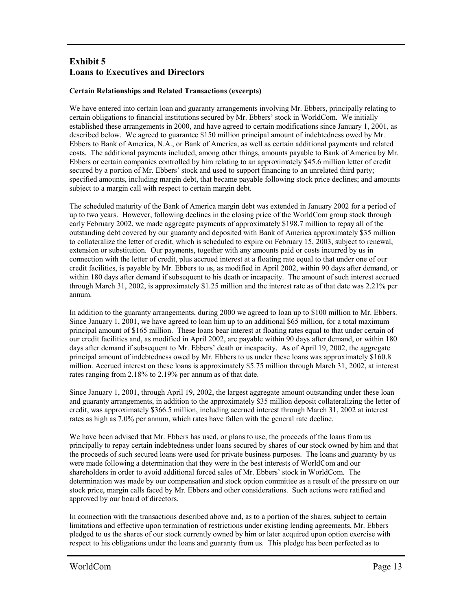# **Exhibit 5 Loans to Executives and Directors**

### **Certain Relationships and Related Transactions (excerpts)**

We have entered into certain loan and guaranty arrangements involving Mr. Ebbers, principally relating to certain obligations to financial institutions secured by Mr. Ebbers' stock in WorldCom. We initially established these arrangements in 2000, and have agreed to certain modifications since January 1, 2001, as described below. We agreed to guarantee \$150 million principal amount of indebtedness owed by Mr. Ebbers to Bank of America, N.A., or Bank of America, as well as certain additional payments and related costs. The additional payments included, among other things, amounts payable to Bank of America by Mr. Ebbers or certain companies controlled by him relating to an approximately \$45.6 million letter of credit secured by a portion of Mr. Ebbers' stock and used to support financing to an unrelated third party; specified amounts, including margin debt, that became payable following stock price declines; and amounts subject to a margin call with respect to certain margin debt.

The scheduled maturity of the Bank of America margin debt was extended in January 2002 for a period of up to two years. However, following declines in the closing price of the WorldCom group stock through early February 2002, we made aggregate payments of approximately \$198.7 million to repay all of the outstanding debt covered by our guaranty and deposited with Bank of America approximately \$35 million to collateralize the letter of credit, which is scheduled to expire on February 15, 2003, subject to renewal, extension or substitution. Our payments, together with any amounts paid or costs incurred by us in connection with the letter of credit, plus accrued interest at a floating rate equal to that under one of our credit facilities, is payable by Mr. Ebbers to us, as modified in April 2002, within 90 days after demand, or within 180 days after demand if subsequent to his death or incapacity. The amount of such interest accrued through March 31, 2002, is approximately \$1.25 million and the interest rate as of that date was 2.21% per annum.

In addition to the guaranty arrangements, during 2000 we agreed to loan up to \$100 million to Mr. Ebbers. Since January 1, 2001, we have agreed to loan him up to an additional \$65 million, for a total maximum principal amount of \$165 million. These loans bear interest at floating rates equal to that under certain of our credit facilities and, as modified in April 2002, are payable within 90 days after demand, or within 180 days after demand if subsequent to Mr. Ebbers' death or incapacity. As of April 19, 2002, the aggregate principal amount of indebtedness owed by Mr. Ebbers to us under these loans was approximately \$160.8 million. Accrued interest on these loans is approximately \$5.75 million through March 31, 2002, at interest rates ranging from 2.18% to 2.19% per annum as of that date.

Since January 1, 2001, through April 19, 2002, the largest aggregate amount outstanding under these loan and guaranty arrangements, in addition to the approximately \$35 million deposit collateralizing the letter of credit, was approximately \$366.5 million, including accrued interest through March 31, 2002 at interest rates as high as 7.0% per annum, which rates have fallen with the general rate decline.

We have been advised that Mr. Ebbers has used, or plans to use, the proceeds of the loans from us principally to repay certain indebtedness under loans secured by shares of our stock owned by him and that the proceeds of such secured loans were used for private business purposes. The loans and guaranty by us were made following a determination that they were in the best interests of WorldCom and our shareholders in order to avoid additional forced sales of Mr. Ebbers' stock in WorldCom. The determination was made by our compensation and stock option committee as a result of the pressure on our stock price, margin calls faced by Mr. Ebbers and other considerations. Such actions were ratified and approved by our board of directors.

In connection with the transactions described above and, as to a portion of the shares, subject to certain limitations and effective upon termination of restrictions under existing lending agreements, Mr. Ebbers pledged to us the shares of our stock currently owned by him or later acquired upon option exercise with respect to his obligations under the loans and guaranty from us. This pledge has been perfected as to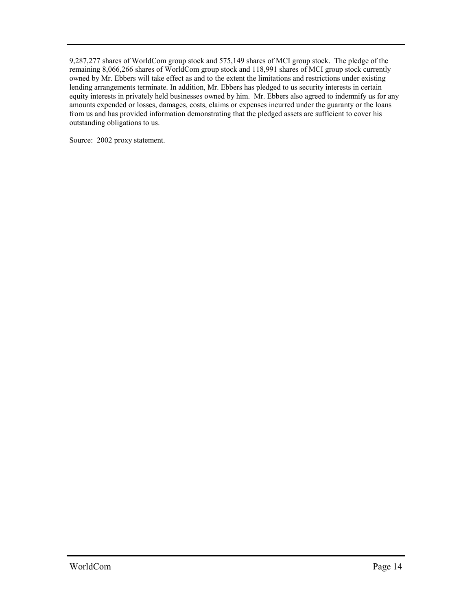9,287,277 shares of WorldCom group stock and 575,149 shares of MCI group stock. The pledge of the remaining 8,066,266 shares of WorldCom group stock and 118,991 shares of MCI group stock currently owned by Mr. Ebbers will take effect as and to the extent the limitations and restrictions under existing lending arrangements terminate. In addition, Mr. Ebbers has pledged to us security interests in certain equity interests in privately held businesses owned by him. Mr. Ebbers also agreed to indemnify us for any amounts expended or losses, damages, costs, claims or expenses incurred under the guaranty or the loans from us and has provided information demonstrating that the pledged assets are sufficient to cover his outstanding obligations to us.